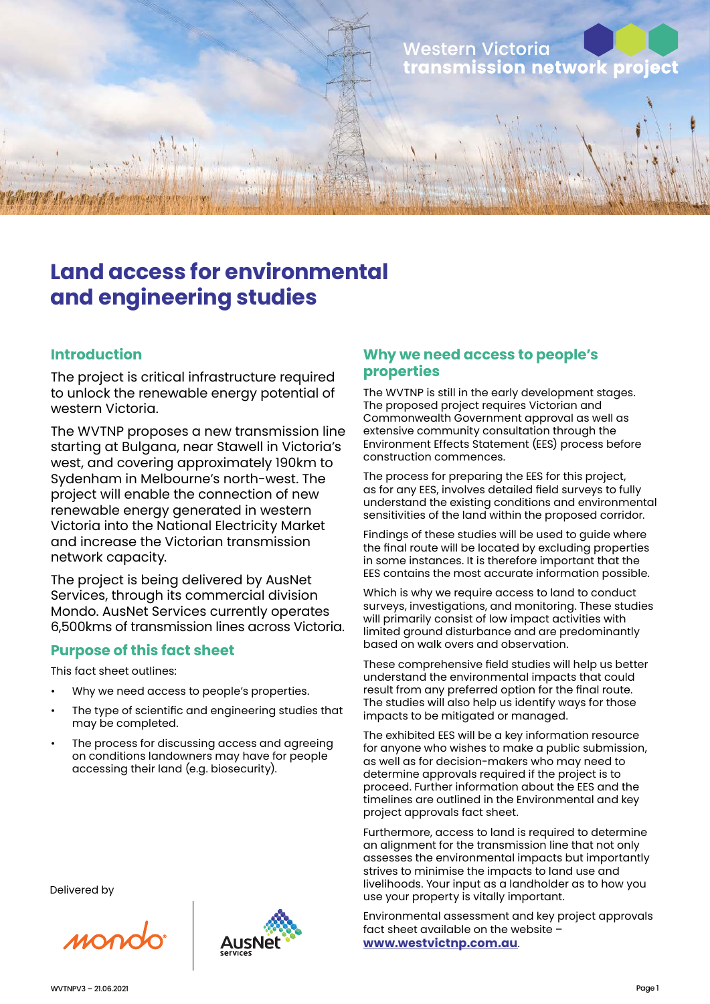

# **Land access for environmental and engineering studies**

## **Introduction**

The project is critical infrastructure required to unlock the renewable energy potential of western Victoria.

The WVTNP proposes a new transmission line starting at Bulgana, near Stawell in Victoria's west, and covering approximately 190km to Sydenham in Melbourne's north-west. The project will enable the connection of new renewable energy generated in western Victoria into the National Electricity Market and increase the Victorian transmission network capacity.

The project is being delivered by AusNet Services, through its commercial division Mondo. AusNet Services currently operates 6,500kms of transmission lines across Victoria.

### **Purpose of this fact sheet**

This fact sheet outlines:

- Why we need access to people's properties.
- The type of scientific and engineering studies that may be completed.
- The process for discussing access and agreeing on conditions landowners may have for people accessing their land (e.g. biosecurity).

Delivered by

MONC



### **Why we need access to people's properties**

The WVTNP is still in the early development stages. The proposed project requires Victorian and Commonwealth Government approval as well as extensive community consultation through the Environment Effects Statement (EES) process before construction commences.

The process for preparing the EES for this project, as for any EES, involves detailed field surveys to fully understand the existing conditions and environmental sensitivities of the land within the proposed corridor.

Findings of these studies will be used to guide where the final route will be located by excluding properties in some instances. It is therefore important that the EES contains the most accurate information possible.

Which is why we require access to land to conduct surveys, investigations, and monitoring. These studies will primarily consist of low impact activities with limited ground disturbance and are predominantly based on walk overs and observation.

These comprehensive field studies will help us better understand the environmental impacts that could result from any preferred option for the final route. The studies will also help us identify ways for those impacts to be mitigated or managed.

The exhibited EES will be a key information resource for anyone who wishes to make a public submission, as well as for decision-makers who may need to determine approvals required if the project is to proceed. Further information about the EES and the timelines are outlined in the Environmental and key project approvals fact sheet.

Furthermore, access to land is required to determine an alignment for the transmission line that not only assesses the environmental impacts but importantly strives to minimise the impacts to land use and livelihoods. Your input as a landholder as to how you use your property is vitally important.

Environmental assessment and key project approvals fact sheet available on the website – **www.westvictnp.com.au**.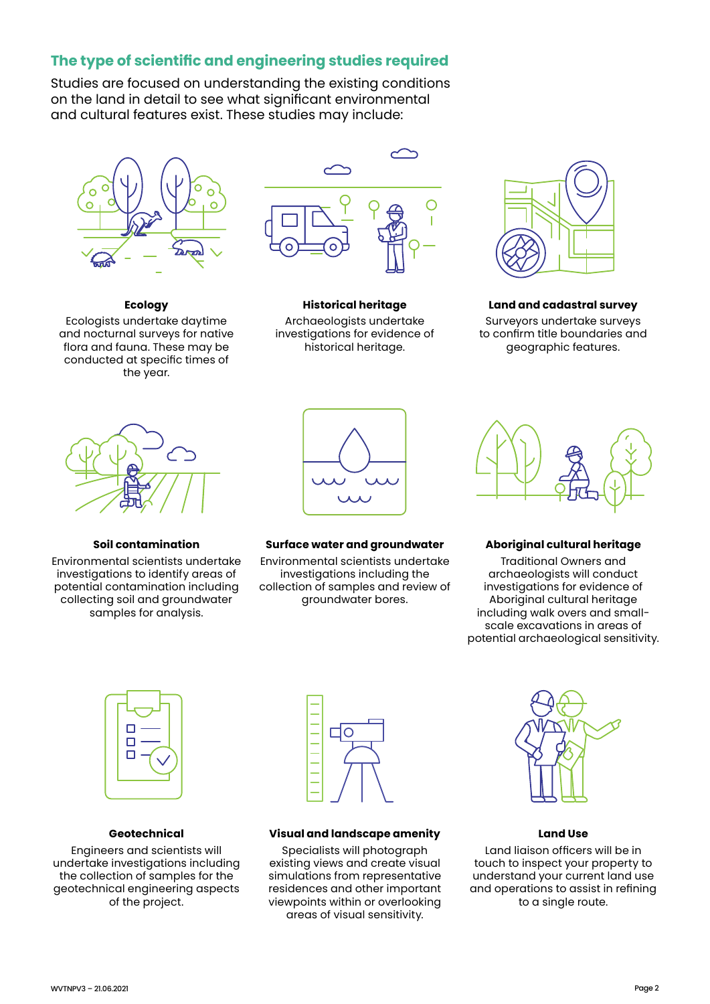# **The type of scientific and engineering studies required**

Studies are focused on understanding the existing conditions on the land in detail to see what significant environmental and cultural features exist. These studies may include:



**Ecology** Ecologists undertake daytime and nocturnal surveys for native flora and fauna. These may be conducted at specific times of the year.



**Historical heritage** Archaeologists undertake investigations for evidence of historical heritage.



**Land and cadastral survey**

Surveyors undertake surveys to confirm title boundaries and geographic features.



**Soil contamination**

Environmental scientists undertake investigations to identify areas of potential contamination including collecting soil and groundwater samples for analysis.



**Surface water and groundwater**

Environmental scientists undertake investigations including the collection of samples and review of groundwater bores.



#### **Aboriginal cultural heritage**

Traditional Owners and archaeologists will conduct investigations for evidence of Aboriginal cultural heritage including walk overs and smallscale excavations in areas of potential archaeological sensitivity.



#### **Geotechnical**

Engineers and scientists will undertake investigations including the collection of samples for the geotechnical engineering aspects of the project.



#### **Visual and landscape amenity**

Specialists will photograph existing views and create visual simulations from representative residences and other important viewpoints within or overlooking areas of visual sensitivity.



**Land Use**

Land liaison officers will be in touch to inspect your property to understand your current land use and operations to assist in refining to a single route.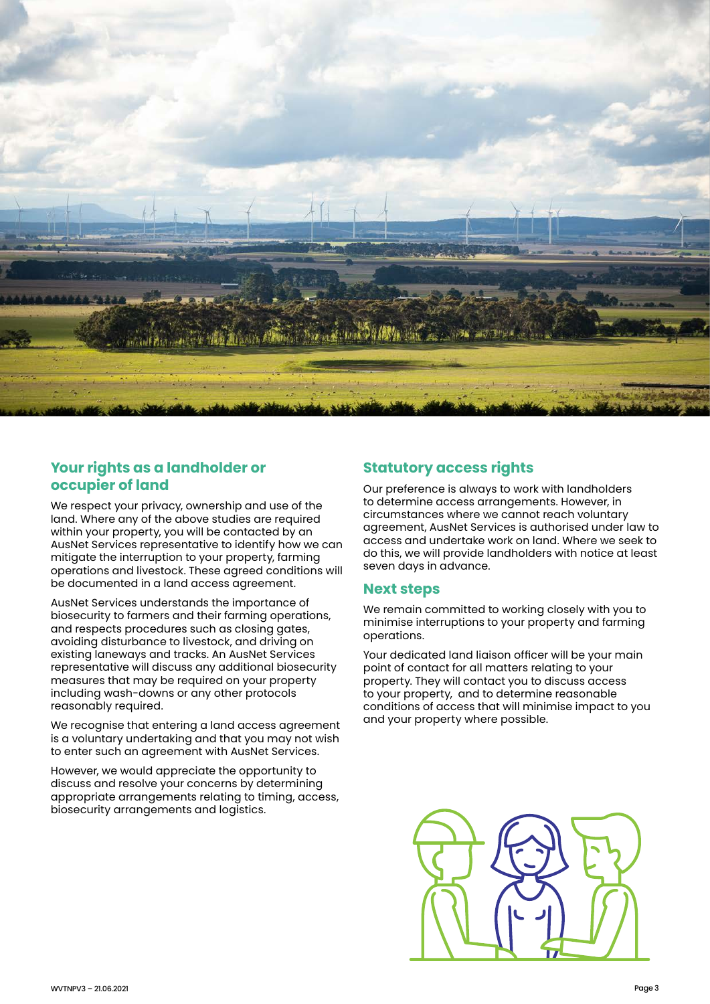

# **Your rights as a landholder or occupier of land**

We respect your privacy, ownership and use of the land. Where any of the above studies are required within your property, you will be contacted by an AusNet Services representative to identify how we can mitigate the interruption to your property, farming operations and livestock. These agreed conditions will be documented in a land access agreement.

AusNet Services understands the importance of biosecurity to farmers and their farming operations, and respects procedures such as closing gates, avoiding disturbance to livestock, and driving on existing laneways and tracks. An AusNet Services representative will discuss any additional biosecurity measures that may be required on your property including wash-downs or any other protocols reasonably required.

We recognise that entering a land access agreement is a voluntary undertaking and that you may not wish to enter such an agreement with AusNet Services.

However, we would appreciate the opportunity to discuss and resolve your concerns by determining appropriate arrangements relating to timing, access, biosecurity arrangements and logistics.

# **Statutory access rights**

Our preference is always to work with landholders to determine access arrangements. However, in circumstances where we cannot reach voluntary agreement, AusNet Services is authorised under law to access and undertake work on land. Where we seek to do this, we will provide landholders with notice at least seven days in advance.

### **Next steps**

We remain committed to working closely with you to minimise interruptions to your property and farming operations.

Your dedicated land liaison officer will be your main point of contact for all matters relating to your property. They will contact you to discuss access to your property, and to determine reasonable conditions of access that will minimise impact to you and your property where possible.